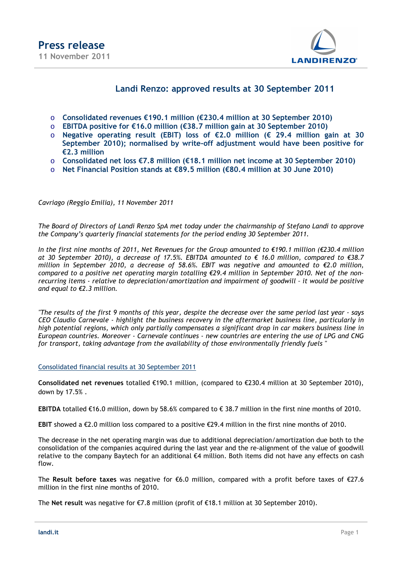

# **Landi Renzo: approved results at 30 September 2011**

- o **Consolidated revenues €190.1 million (€230.4 million at 30 September 2010)**
- o **EBITDA positive for €16.0 million (€38.7 million gain at 30 September 2010)**
- o **Negative operating result (EBIT) loss of €2.0 million (€ 29.4 million gain at 30 September 2010); normalised by write-off adjustment would have been positive for €2.3 million**
- o **Consolidated net loss €7.8 million (€18.1 million net income at 30 September 2010)**
- o **Net Financial Position stands at €89.5 million (€80.4 million at 30 June 2010)**

*Cavriago (Reggio Emilia), 11 November 2011* 

*The Board of Directors of Landi Renzo SpA met today under the chairmanship of Stefano Landi to approve the Company's quarterly financial statements for the period ending 30 September 2011.* 

*In the first nine months of 2011, Net Revenues for the Group amounted to €190.1 million (€230.4 million at 30 September 2010), a decrease of 17.5%. EBITDA amounted to € 16.0 million, compared to €38.7 million in September 2010, a decrease of 58.6%. EBIT was negative and amounted to €2.0 million, compared to a positive net operating margin totalling €29.4 million in September 2010. Net of the nonrecurring items - relative to depreciation/amortization and impairment of goodwill – it would be positive and equal to €2.3 million.* 

*"The results of the first 9 months of this year, despite the decrease over the same period last year - says CEO Claudio Carnevale - highlight the business recovery in the aftermarket business line, particularly in high potential regions, which only partially compensates a significant drop in car makers business line in European countries. Moreover - Carnevale continues - new countries are entering the use of LPG and CNG for transport, taking advantage from the availability of those environmentally friendly fuels "* 

#### Consolidated financial results at 30 September 2011

**Consolidated net revenues** totalled €190.1 million, (compared to €230.4 million at 30 September 2010), down by 17.5% .

**EBITDA** totalled €16.0 million, down by 58.6% compared to € 38.7 million in the first nine months of 2010.

**EBIT** showed a €2.0 million loss compared to a positive €29.4 million in the first nine months of 2010.

The decrease in the net operating margin was due to additional depreciation/amortization due both to the consolidation of the companies acquired during the last year and the re-alignment of the value of goodwill relative to the company Baytech for an additional €4 million. Both items did not have any effects on cash flow.

The **Result before taxes** was negative for €6.0 million, compared with a profit before taxes of €27.6 million in the first nine months of 2010.

The **Net result** was negative for €7.8 million (profit of €18.1 million at 30 September 2010).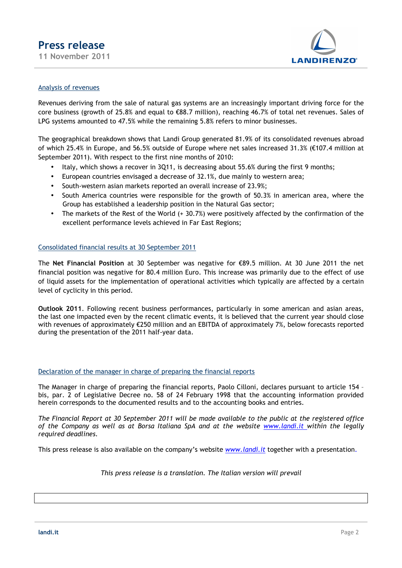



## Analysis of revenues

Revenues deriving from the sale of natural gas systems are an increasingly important driving force for the core business (growth of 25.8% and equal to €88.7 million), reaching 46.7% of total net revenues. Sales of LPG systems amounted to 47.5% while the remaining 5.8% refers to minor businesses.

The geographical breakdown shows that Landi Group generated 81.9% of its consolidated revenues abroad of which 25.4% in Europe, and 56.5% outside of Europe where net sales increased 31.3% (€107.4 million at September 2011). With respect to the first nine months of 2010:

- Italy, which shows a recover in 3Q11, is decreasing about 55.6% during the first 9 months;
- European countries envisaged a decrease of 32.1%, due mainly to western area;
- South-western asian markets reported an overall increase of 23.9%;
- South America countries were responsible for the growth of 50.3% in american area, where the Group has established a leadership position in the Natural Gas sector;
- The markets of the Rest of the World (+ 30.7%) were positively affected by the confirmation of the excellent performance levels achieved in Far East Regions;

## Consolidated financial results at 30 September 2011

The **Net Financial Position** at 30 September was negative for €89.5 million. At 30 June 2011 the net financial position was negative for 80.4 million Euro. This increase was primarily due to the effect of use of liquid assets for the implementation of operational activities which typically are affected by a certain level of cyclicity in this period.

**Outlook 2011**. Following recent business performances, particularly in some american and asian areas, the last one impacted even by the recent climatic events, it is believed that the current year should close with revenues of approximately €250 million and an EBITDA of approximately 7%, below forecasts reported during the presentation of the 2011 half-year data.

## Declaration of the manager in charge of preparing the financial reports

The Manager in charge of preparing the financial reports, Paolo Cilloni, declares pursuant to article 154 – bis, par. 2 of Legislative Decree no. 58 of 24 February 1998 that the accounting information provided herein corresponds to the documented results and to the accounting books and entries.

*The Financial Report at 30 September 2011 will be made available to the public at the registered office of the Company as well as at Borsa Italiana SpA and at the website www.landi.it within the legally required deadlines.* 

This press release is also available on the company's website *www.landi.it* together with a presentation.

## *This press release is a translation. The Italian version will prevail*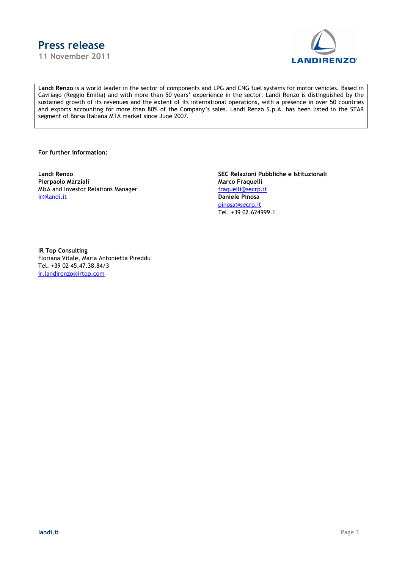

**11 November 2011** 



**Landi Renzo** is a world leader in the sector of components and LPG and CNG fuel systems for motor vehicles. Based in Cavriago (Reggio Emilia) and with more than 50 years' experience in the sector, Landi Renzo is distinguished by the sustained growth of its revenues and the extent of its international operations, with a presence in over 50 countries and exports accounting for more than 80% of the Company's sales. Landi Renzo S.p.A. has been listed in the STAR segment of Borsa Italiana MTA market since June 2007.

**For further information:** 

**Pierpaolo Marziali**<br>
Marco Fraquelli<br>
M&A and Investor Relations Manager<br>
M&A and Investor Relations Manager<br>
Marco Fraquelli@secrp.it M&A and Investor Relations Manager ir@landi.it **Daniele Pinosa**

**Landi Renzo SEC Relazioni Pubbliche e Istituzionali** pinosa@secrp.it Tel. +39 02.624999.1

**IR Top Consulting** Floriana Vitale, Maria Antonietta Pireddu Tel. +39 02 45.47.38.84/3 ir.landirenzo@irtop.com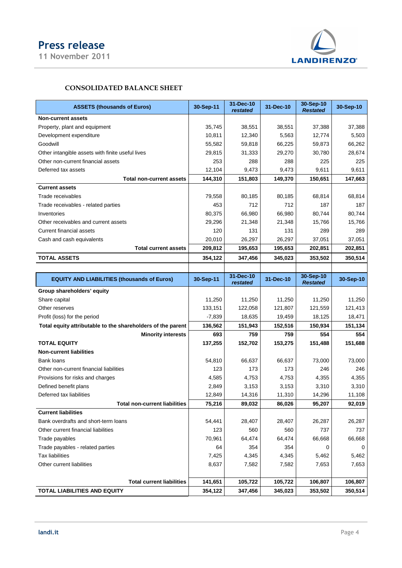

# **11 November 2011**

## **CONSOLIDATED BALANCE SHEET**

| <b>ASSETS (thousands of Euros)</b>                          | 30-Sep-11 | 31-Dec-10<br>restated | 31-Dec-10 | 30-Sep-10<br><b>Restated</b> | 30-Sep-10 |
|-------------------------------------------------------------|-----------|-----------------------|-----------|------------------------------|-----------|
| <b>Non-current assets</b>                                   |           |                       |           |                              |           |
| Property, plant and equipment                               | 35,745    | 38,551                | 38,551    | 37,388                       | 37,388    |
| Development expenditure                                     | 10,811    | 12,340                | 5,563     | 12,774                       | 5,503     |
| Goodwill                                                    | 55,582    | 59,818                | 66,225    | 59,873                       | 66,262    |
| Other intangible assets with finite useful lives            | 29,815    | 31,333                | 29,270    | 30,780                       | 28,674    |
| Other non-current financial assets                          | 253       | 288                   | 288       | 225                          | 225       |
| Deferred tax assets                                         | 12,104    | 9,473                 | 9,473     | 9,611                        | 9,611     |
| <b>Total non-current assets</b>                             | 144,310   | 151,803               | 149,370   | 150,651                      | 147,663   |
| <b>Current assets</b>                                       |           |                       |           |                              |           |
| Trade receivables                                           | 79,558    | 80,185                | 80,185    | 68,814                       | 68,814    |
| Trade receivables - related parties                         | 453       | 712                   | 712       | 187                          | 187       |
| Inventories                                                 | 80,375    | 66,980                | 66,980    | 80,744                       | 80,744    |
| Other receivables and current assets                        | 29,296    | 21,348                | 21,348    | 15,766                       | 15,766    |
| <b>Current financial assets</b>                             | 120       | 131                   | 131       | 289                          | 289       |
| Cash and cash equivalents                                   | 20,010    | 26,297                | 26,297    | 37,051                       | 37,051    |
| <b>Total current assets</b>                                 | 209,812   | 195,653               | 195,653   | 202,851                      | 202,851   |
| <b>TOTAL ASSETS</b>                                         | 354,122   | 347,456               | 345,023   | 353,502                      | 350,514   |
|                                                             |           |                       |           |                              |           |
| <b>EQUITY AND LIABILITIES (thousands of Euros)</b>          | 30-Sep-11 | 31-Dec-10<br>restated | 31-Dec-10 | 30-Sep-10<br><b>Restated</b> | 30-Sep-10 |
| Group shareholders' equity                                  |           |                       |           |                              |           |
| Share capital                                               | 11,250    | 11,250                | 11,250    | 11,250                       | 11,250    |
| Other reserves                                              | 133,151   | 122,058               | 121,807   | 121,559                      | 121,413   |
| Profit (loss) for the period                                | $-7,839$  | 18,635                | 19,459    | 18,125                       | 18,471    |
| Total equity attributable to the shareholders of the parent | 136,562   | 151,943               | 152,516   | 150,934                      | 151,134   |
| <b>Minority interests</b>                                   | 693       | 759                   | 759       | 554                          | 554       |
| <b>TOTAL EQUITY</b>                                         | 137,255   | 152,702               | 153,275   | 151,488                      | 151,688   |
| <b>Non-current liabilities</b>                              |           |                       |           |                              |           |
| Bank loans                                                  | 54,810    | 66,637                | 66,637    | 73,000                       | 73,000    |
| Other non-current financial liabilities                     | 123       | 173                   | 173       | 246                          | 246       |
| Provisions for risks and charges                            | 4,585     | 4,753                 | 4,753     | 4,355                        | 4,355     |
| Defined benefit plans                                       | 2,849     | 3,153                 | 3,153     | 3,310                        | 3,310     |
| Deferred tax liabilities                                    | 12,849    | 14,316                | 11,310    | 14,296                       | 11,108    |
| Total non-current liabilities                               | 75,216    | 89,032                | 86,026    | 95,207                       | 92,019    |
| <b>Current liabilities</b>                                  |           |                       |           |                              |           |
| Bank overdrafts and short-term loans                        | 54,441    | 28,407                | 28,407    | 26,287                       | 26,287    |
| Other current financial liabilities                         | 123       | 560                   | 560       | 737                          | 737       |
| Trade payables                                              | 70,961    | 64,474                | 64,474    | 66,668                       | 66,668    |
| Trade payables - related parties                            | 64        | 354                   | 354       | 0                            | 0         |
| <b>Tax liabilities</b>                                      | 7,425     | 4,345                 | 4,345     | 5,462                        | 5,462     |
| Other current liabilities                                   | 8,637     | 7,582                 | 7,582     | 7,653                        | 7,653     |
|                                                             |           |                       |           |                              |           |
| <b>Total current liabilities</b>                            | 141,651   | 105,722               | 105,722   | 106,807                      | 106,807   |
| TOTAL LIABILITIES AND EQUITY                                | 354,122   | 347,456               | 345,023   | 353,502                      | 350,514   |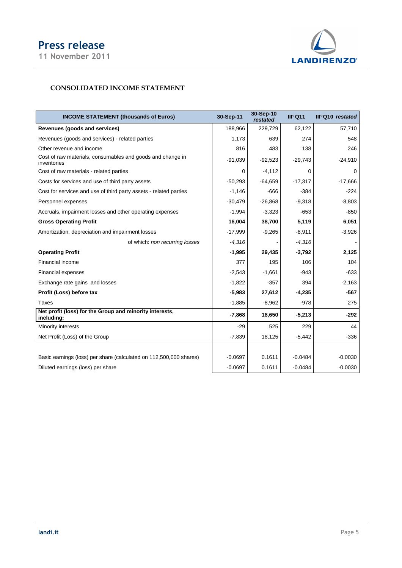

## **CONSOLIDATED INCOME STATEMENT**

| <b>INCOME STATEMENT (thousands of Euros)</b>                              | 30-Sep-11 | 30-Sep-10<br>restated | III°Q11      | III°Q10 restated |
|---------------------------------------------------------------------------|-----------|-----------------------|--------------|------------------|
| Revenues (goods and services)                                             | 188,966   | 229,729               | 62,122       | 57,710           |
| Revenues (goods and services) - related parties                           | 1,173     | 639                   | 274          | 548              |
| Other revenue and income                                                  | 816       | 483                   | 138          | 246              |
| Cost of raw materials, consumables and goods and change in<br>inventories | $-91,039$ | $-92,523$             | $-29,743$    | $-24,910$        |
| Cost of raw materials - related parties                                   | 0         | $-4,112$              | $\mathbf{0}$ | $\Omega$         |
| Costs for services and use of third party assets                          | $-50,293$ | $-64,659$             | $-17,317$    | $-17,666$        |
| Cost for services and use of third party assets - related parties         | $-1,146$  | $-666$                | $-384$       | $-224$           |
| Personnel expenses                                                        | $-30,479$ | $-26.868$             | $-9,318$     | $-8,803$         |
| Accruals, impairment losses and other operating expenses                  | $-1,994$  | $-3,323$              | $-653$       | $-850$           |
| <b>Gross Operating Profit</b>                                             | 16,004    | 38,700                | 5,119        | 6,051            |
| Amortization, depreciation and impairment losses                          | $-17,999$ | $-9,265$              | $-8,911$     | $-3,926$         |
| of which: non recurring losses                                            | $-4,316$  |                       | $-4,316$     |                  |
| <b>Operating Profit</b>                                                   | $-1,995$  | 29,435                | $-3,792$     | 2,125            |
| Financial income                                                          | 377       | 195                   | 106          | 104              |
| <b>Financial expenses</b>                                                 | $-2,543$  | $-1,661$              | $-943$       | $-633$           |
| Exchange rate gains and losses                                            | $-1,822$  | $-357$                | 394          | $-2,163$         |
| Profit (Loss) before tax                                                  | $-5,983$  | 27,612                | $-4,235$     | $-567$           |
| <b>Taxes</b>                                                              | $-1,885$  | $-8,962$              | $-978$       | 275              |
| Net profit (loss) for the Group and minority interests,<br>including:     | $-7,868$  | 18,650                | $-5,213$     | $-292$           |
| Minority interests                                                        | $-29$     | 525                   | 229          | 44               |
| Net Profit (Loss) of the Group                                            | $-7,839$  | 18,125                | $-5,442$     | $-336$           |
|                                                                           |           |                       |              |                  |
| Basic earnings (loss) per share (calculated on 112,500,000 shares)        | $-0.0697$ | 0.1611                | $-0.0484$    | $-0.0030$        |
| Diluted earnings (loss) per share                                         | $-0.0697$ | 0.1611                | $-0.0484$    | $-0.0030$        |